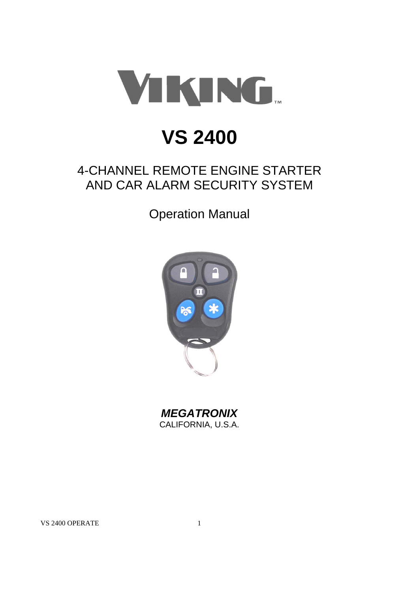

# **VS 2400**

## 4-CHANNEL REMOTE ENGINE STARTER AND CAR ALARM SECURITY SYSTEM

Operation Manual



*MEGATRONIX* CALIFORNIA, U.S.A.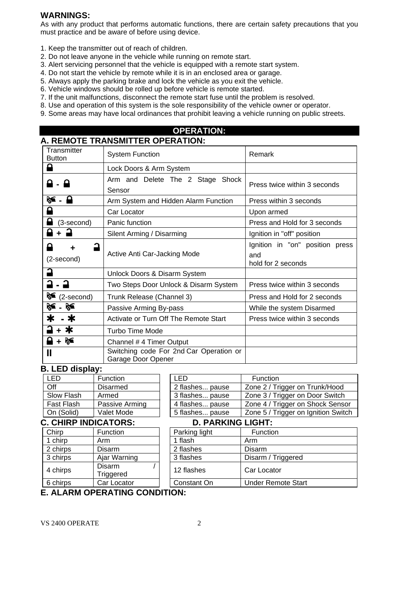#### **WARNINGS:**

As with any product that performs automatic functions, there are certain safety precautions that you must practice and be aware of before using device.

- 1. Keep the transmitter out of reach of children.
- 2. Do not leave anyone in the vehicle while running on remote start.
- 3. Alert servicing personnel that the vehicle is equipped with a remote start system.
- 4. Do not start the vehicle by remote while it is in an enclosed area or garage.
- 5. Always apply the parking brake and lock the vehicle as you exit the vehicle.
- 6. Vehicle windows should be rolled up before vehicle is remote started.
- 7. If the unit malfunctions, disconnect the remote start fuse until the problem is resolved.
- 8. Use and operation of this system is the sole responsibility of the vehicle owner or operator.
- 9. Some areas may have local ordinances that prohibit leaving a vehicle running on public streets.

## **OPERATION: A. REMOTE TRANSMITTER OPERATION:**

| Transmitter<br><b>Button</b> | <b>System Function</b>                                        | Remark                                                       |  |  |
|------------------------------|---------------------------------------------------------------|--------------------------------------------------------------|--|--|
|                              | Lock Doors & Arm System                                       |                                                              |  |  |
| ہ                            | Arm and Delete The 2 Stage Shock<br>Sensor                    | Press twice within 3 seconds                                 |  |  |
| ‰ - ⊟                        | Arm System and Hidden Alarm Function                          | Press within 3 seconds                                       |  |  |
|                              | Car Locator                                                   | Upon armed                                                   |  |  |
| (3-second)                   | Panic function                                                | Press and Hold for 3 seconds                                 |  |  |
|                              | Silent Arming / Disarming                                     | Ignition in "off" position                                   |  |  |
| (2-second)                   | Active Anti Car-Jacking Mode                                  | Ignition in "on" position press<br>and<br>hold for 2 seconds |  |  |
|                              | Unlock Doors & Disarm System                                  |                                                              |  |  |
|                              | Two Steps Door Unlock & Disarm System                         | Press twice within 3 seconds                                 |  |  |
| ≽<br>(2-second)              | Trunk Release (Channel 3)                                     | Press and Hold for 2 seconds                                 |  |  |
| ਲ€<br>ਲ€                     | Passive Arming By-pass                                        | While the system Disarmed                                    |  |  |
| . *                          | Activate or Turn Off The Remote Start                         | Press twice within 3 seconds                                 |  |  |
| Ж                            | Turbo Time Mode                                               |                                                              |  |  |
|                              | Channel # 4 Timer Output                                      |                                                              |  |  |
| Ш                            | Switching code For 2nd Car Operation or<br>Garage Door Opener |                                                              |  |  |

#### **B. LED display:**

| I FD       | Function        | I FD            | Function     |
|------------|-----------------|-----------------|--------------|
| Off        | <b>Disarmed</b> | 2 flashes pause | Zone $2/Tr$  |
| Slow Flash | Armed           | 3 flashes pause | Zone $3/$ Tr |
| Fast Flash | Passive Arming  | 4 flashes pause | Zone $4/Tr$  |
| On (Solid) | Valet Mode      | 5 flashes pause | Zone $5/Tr$  |

## Off **Disarmed** 2 flashes... pause 2 / Trigger on Trunk/Hood Slow Flash Armed 1 3 flashes... pause 2 one 3 / Trigger on Door Switch Fast Flash | Passive Arming | | 4 flashes... pause | Zone 4 / Trigger on Shock Sensor On (Solid) | Valet Mode | | 5 flashes... pause | Zone 5 / Trigger on Ignition Switch

## **C. CHIRP INDICATORS:**

| Chirp    | Function            |  | Parking light | Func    |  |
|----------|---------------------|--|---------------|---------|--|
| 1 chirp  | Arm                 |  | 1 flash       | Arm     |  |
| 2 chirps | Disarm              |  | 2 flashes     | Disarm  |  |
| 3 chirps | Ajar Warning        |  | 3 flashes     | Disarm  |  |
| 4 chirps | Disarm<br>Triggered |  | 12 flashes    | Car Lo  |  |
| 6 chirps | Car Locator         |  | Constant On   | Under l |  |
|          |                     |  |               |         |  |

|                          | 2 flashes pause | Zone 2 / Trigger on Trunk/Hood      |  |  |
|--------------------------|-----------------|-------------------------------------|--|--|
|                          | 3 flashes pause | Zone 3 / Trigger on Door Switch     |  |  |
|                          | 4 flashes pause | Zone 4 / Trigger on Shock Sensor    |  |  |
|                          | 5 flashes pause | Zone 5 / Trigger on Ignition Switch |  |  |
| <b>D. PARKING LIGHT:</b> |                 |                                     |  |  |
|                          | Parking light   | Function                            |  |  |

## Parking light Function

| 1 chirp  | Arm                        | 1 flash     | Arm                |
|----------|----------------------------|-------------|--------------------|
| 2 chirps | Disarm                     | 2 flashes   | Disarm             |
| 3 chirps | Ajar Warning               | 3 flashes   | Disarm / Triggered |
| 4 chirps | <b>Disarm</b><br>Triggered | 12 flashes  | Car Locator        |
| 6 chirps | Car Locator                | Constant On | Under Remote Start |
|          |                            |             |                    |

## **E. ALARM OPERATING CONDITION:**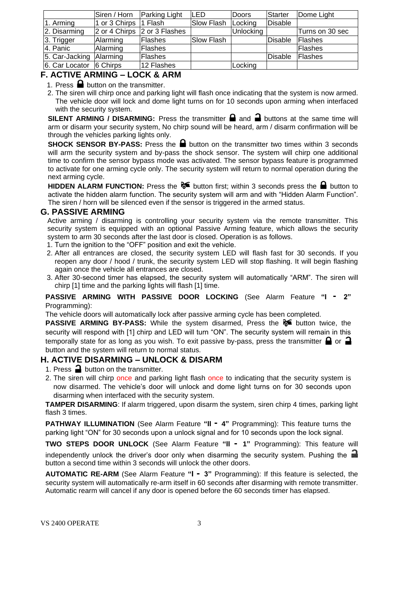|                               | Siren / Horn  | <b>Parking Light</b>         | LED        | <b>Doors</b> | Starter | Dome Light      |
|-------------------------------|---------------|------------------------------|------------|--------------|---------|-----------------|
| 1. Arming                     | 1 or 3 Chirps | $\vert$ 1 Flash              | Slow Flash | Locking      | Disable |                 |
| 2. Disarming                  |               | 2 or 4 Chirps 2 or 3 Flashes |            | Unlocking    |         | Turns on 30 sec |
| 3. Trigger                    | Alarming      | <b>Flashes</b>               | Slow Flash |              | Disable | Flashes         |
| 4. Panic                      | Alarming      | Flashes                      |            |              |         | <b>IFlashes</b> |
| 5. Car-Jacking Alarming       |               | <b>Flashes</b>               |            |              | Disable | <b>IFlashes</b> |
| $ 6.$ Car Locator $ 6$ Chirps |               | 12 Flashes                   |            | Locking      |         |                 |

## **F. ACTIVE ARMING – LOCK & ARM**

1. Press  $\blacksquare$  button on the transmitter.

2. The siren will chirp once and parking light will flash once indicating that the system is now armed. The vehicle door will lock and dome light turns on for 10 seconds upon arming when interfaced with the security system.

**SILENT ARMING / DISARMING:** Press the transmitter  $\blacksquare$  and  $\blacksquare$  buttons at the same time will arm or disarm your security system, No chirp sound will be heard, arm / disarm confirmation will be through the vehicles parking lights only.

**SHOCK SENSOR BY-PASS:** Press the **a** button on the transmitter two times within 3 seconds will arm the security system and by-pass the shock sensor. The system will chirp one additional time to confirm the sensor bypass mode was activated. The sensor bypass feature is programmed to activate for one arming cycle only. The security system will return to normal operation during the next arming cycle.

**HIDDEN ALARM FUNCTION:** Press the  $\delta$  button first; within 3 seconds press the **button to** activate the hidden alarm function. The security system will arm and with "Hidden Alarm Function". The siren / horn will be silenced even if the sensor is triggered in the armed status.

#### **G. PASSIVE ARMING**

Active arming / disarming is controlling your security system via the remote transmitter. This security system is equipped with an optional Passive Arming feature, which allows the security system to arm 30 seconds after the last door is closed. Operation is as follows.

- 1. Turn the ignition to the "OFF" position and exit the vehicle.
- 2. After all entrances are closed, the security system LED will flash fast for 30 seconds. If you reopen any door / hood / trunk, the security system LED will stop flashing. It will begin flashing again once the vehicle all entrances are closed.
- 3. After 30-second timer has elapsed, the security system will automatically "ARM". The siren will chirp [1] time and the parking lights will flash [1] time.

#### **PASSIVE ARMING WITH PASSIVE DOOR LOCKING** (See Alarm Feature **"I - 2"**  Programming):

The vehicle doors will automatically lock after passive arming cycle has been completed.

**PASSIVE ARMING BY-PASS:** While the system disarmed, Press the **button twice**, the security will respond with [1] chirp and LED will turn "ON". The security system will remain in this temporally state for as long as you wish. To exit passive by-pass, press the transmitter  $\bigcap$  or  $\bigcap$ button and the system will return to normal status.

## **H. ACTIVE DISARMING – UNLOCK & DISARM**

- 1. Press  $\rightarrow$  button on the transmitter.
- 2. The siren will chirp once and parking light flash once to indicating that the security system is now disarmed. The vehicle's door will unlock and dome light turns on for 30 seconds upon disarming when interfaced with the security system.

**TAMPER DISARMING**: If alarm triggered, upon disarm the system, siren chirp 4 times, parking light flash 3 times.

**PATHWAY ILLUMINATION** (See Alarm Feature **"II - 4"** Programming): This feature turns the parking light "ON" for 30 seconds upon a unlock signal and for 10 seconds upon the lock signal.

**TWO STEPS DOOR UNLOCK** (See Alarm Feature **"II - 1"** Programming): This feature will independently unlock the driver's door only when disarming the security system. Pushing the button a second time within 3 seconds will unlock the other doors.

**AUTOMATIC RE-ARM** (See Alarm Feature **"I - 3"** Programming): If this feature is selected, the security system will automatically re-arm itself in 60 seconds after disarming with remote transmitter. Automatic rearm will cancel if any door is opened before the 60 seconds timer has elapsed.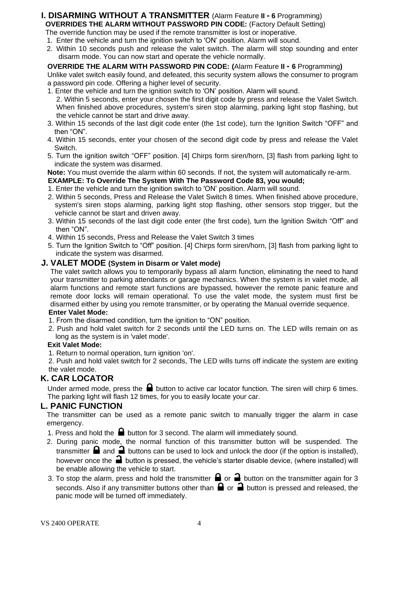## **I. DISARMING WITHOUT A TRANSMITTER** (Alarm Feature **II - 6** Programming) **OVERRIDES THE ALARM WITHOUT PASSWORD PIN CODE:** (Factory Default Setting)

The override function may be used if the remote transmitter is lost or inoperative. 1. Enter the vehicle and turn the ignition switch to 'ON' position. Alarm will sound.

2. Within 10 seconds push and release the valet switch. The alarm will stop sounding and enter disarm mode. You can now start and operate the vehicle normally.

#### **OVERRIDE THE ALARM WITH PASSWORD PIN CODE: (**Alarm Feature **II - 6** Programming**)** Unlike valet switch easily found, and defeated, this security system allows the consumer to program

a password pin code. Offering a higher level of security.

- 1. Enter the vehicle and turn the ignition switch to 'ON' position. Alarm will sound. 2. Within 5 seconds, enter your chosen the first digit code by press and release the Valet Switch. When finished above procedures, system's siren stop alarming, parking light stop flashing, but the vehicle cannot be start and drive away.
- 3. Within 15 seconds of the last digit code enter (the 1st code), turn the Ignition Switch "OFF" and then "ON".
- 4. Within 15 seconds, enter your chosen of the second digit code by press and release the Valet Switch.
- 5. Turn the ignition switch "OFF" position. [4] Chirps form siren/horn, [3] flash from parking light to indicate the system was disarmed.

**Note:** You must override the alarm within 60 seconds. If not, the system will automatically re-arm.

- **EXAMPLE: To Override The System With The Password Code 83, you would;**
- 1. Enter the vehicle and turn the ignition switch to 'ON' position. Alarm will sound.
- 2. Within 5 seconds, Press and Release the Valet Switch 8 times. When finished above procedure, system's siren stops alarming, parking light stop flashing, other sensors stop trigger, but the vehicle cannot be start and driven away.
- 3. Within 15 seconds of the last digit code enter (the first code), turn the Ignition Switch "Off" and then "ON".
- 4. Within 15 seconds, Press and Release the Valet Switch 3 times
- 5. Turn the Ignition Switch to "Off" position. [4] Chirps form siren/horn, [3] flash from parking light to indicate the system was disarmed.

## **J. VALET MODE (System in Disarm or Valet mode)**

The valet switch allows you to temporarily bypass all alarm function, eliminating the need to hand your transmitter to parking attendants or garage mechanics. When the system is in valet mode, all alarm functions and remote start functions are bypassed, however the remote panic feature and remote door locks will remain operational. To use the valet mode, the system must first be disarmed either by using you remote transmitter, or by operating the Manual override sequence.

#### **Enter Valet Mode:**

- 1. From the disarmed condition, turn the ignition to "ON" position.
- 2. Push and hold valet switch for 2 seconds until the LED turns on. The LED wills remain on as long as the system is in 'valet mode'.

#### **Exit Valet Mode:**

1. Return to normal operation, turn ignition 'on'.

2. Push and hold valet switch for 2 seconds, The LED wills turns off indicate the system are exiting the valet mode.

## **K. CAR LOCATOR**

Under armed mode, press the  $\blacksquare$  button to active car locator function. The siren will chirp 6 times. The parking light will flash 12 times, for you to easily locate your car.

## **L. PANIC FUNCTION**

The transmitter can be used as a remote panic switch to manually trigger the alarm in case emergency.

- 1. Press and hold the  $\blacksquare$  button for 3 second. The alarm will immediately sound.
- 2. During panic mode, the normal function of this transmitter button will be suspended. The transmitter  $\blacksquare$  and  $\blacksquare$  buttons can be used to lock and unlock the door (if the option is installed), however once the  $\Box$  button is pressed, the vehicle's starter disable device, (where installed) will be enable allowing the vehicle to start.
- 3. To stop the alarm, press and hold the transmitter  $\Box$  or  $\Box$  button on the transmitter again for 3 seconds. Also if any transmitter buttons other than  $\bigoplus$  or  $\bigoplus$  button is pressed and released, the panic mode will be turned off immediately.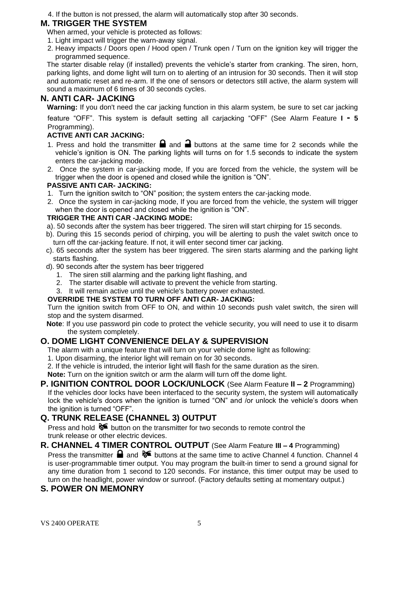4. If the button is not pressed, the alarm will automatically stop after 30 seconds.

## **M. TRIGGER THE SYSTEM**

- When armed, your vehicle is protected as follows:
- 1. Light impact will trigger the warn-away signal.
- 2. Heavy impacts / Doors open / Hood open / Trunk open / Turn on the ignition key will trigger the programmed sequence.

The starter disable relay (if installed) prevents the vehicle's starter from cranking. The siren, horn, parking lights, and dome light will turn on to alerting of an intrusion for 30 seconds. Then it will stop and automatic reset and re-arm. If the one of sensors or detectors still active, the alarm system will sound a maximum of 6 times of 30 seconds cycles.

## **N. ANTI CAR- JACKING**

**Warning:** If you don't need the car jacking function in this alarm system, be sure to set car jacking

feature "OFF". This system is default setting all carjacking "OFF" (See Alarm Feature **I - 5**  Programming).

## **ACTIVE ANTI CAR JACKING:**

- 1. Press and hold the transmitter  $\blacksquare$  and  $\blacksquare$  buttons at the same time for 2 seconds while the vehicle's ignition is ON. The parking lights will turns on for 1.5 seconds to indicate the system enters the car-jacking mode.
- 2. Once the system in car-jacking mode, If you are forced from the vehicle, the system will be trigger when the door is opened and closed while the ignition is "ON".

#### **PASSIVE ANTI CAR- JACKING:**

- 1. Turn the ignition switch to "ON" position; the system enters the car-jacking mode.
- 2. Once the system in car-jacking mode, If you are forced from the vehicle, the system will trigger when the door is opened and closed while the ignition is "ON".

#### **TRIGGER THE ANTI CAR -JACKING MODE:**

- a). 50 seconds after the system has beer triggered. The siren will start chirping for 15 seconds.
- b). During this 15 seconds period of chirping, you will be alerting to push the valet switch once to turn off the car-jacking feature. If not, it will enter second timer car jacking.
- c). 65 seconds after the system has beer triggered. The siren starts alarming and the parking light starts flashing.
- d). 90 seconds after the system has beer triggered
	- 1. The siren still alarming and the parking light flashing, and
	- 2. The starter disable will activate to prevent the vehicle from starting.
	- 3. It will remain active until the vehicle's battery power exhausted.

#### **OVERRIDE THE SYSTEM TO TURN OFF ANTI CAR- JACKING:**

Turn the ignition switch from OFF to ON, and within 10 seconds push valet switch, the siren will stop and the system disarmed.

**Note**: If you use password pin code to protect the vehicle security, you will need to use it to disarm the system completely.

## **O. DOME LIGHT CONVENIENCE DELAY & SUPERVISION**

The alarm with a unique feature that will turn on your vehicle dome light as following:

- 1. Upon disarming, the interior light will remain on for 30 seconds.
- 2. If the vehicle is intruded, the interior light will flash for the same duration as the siren.

**Note:** Turn on the ignition switch or arm the alarm will turn off the dome light.

**P. IGNITION CONTROL DOOR LOCK/UNLOCK** (See Alarm Feature **II – 2** Programming) If the vehicles door locks have been interfaced to the security system, the system will automatically lock the vehicle's doors when the ignition is turned "ON" and /or unlock the vehicle's doors when the ignition is turned "OFF".

## **Q. TRUNK RELEASE (CHANNEL 3) OUTPUT**

Press and hold  $\delta$  button on the transmitter for two seconds to remote control the trunk release or other electric devices.

**R. CHANNEL 4 TIMER CONTROL OUTPUT** (See Alarm Feature **III – 4** Programming) Press the transmitter  $\blacksquare$  and  $\blacklozenge \blacksquare$  buttons at the same time to active Channel 4 function. Channel 4 is user-programmable timer output. You may program the built-in timer to send a ground signal for any time duration from 1 second to 120 seconds. For instance, this timer output may be used to turn on the headlight, power window or sunroof. (Factory defaults setting at momentary output.)

## **S. POWER ON MEMONRY**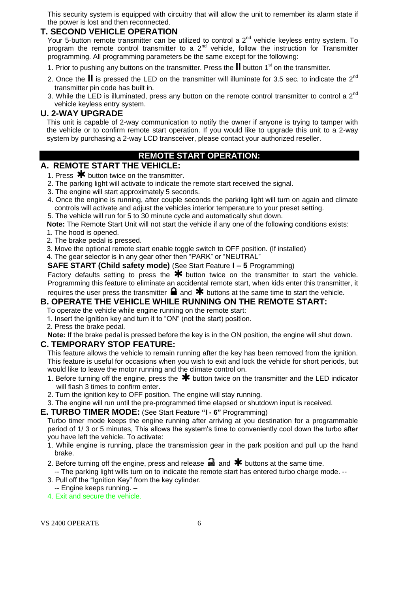This security system is equipped with circuitry that will allow the unit to remember its alarm state if the power is lost and then reconnected.

## **T. SECOND VEHICLE OPERATION**

Your 5-button remote transmitter can be utilized to control a  $2^{nd}$  vehicle keyless entry system. To program the remote control transmitter to a  $2^{nd}$  vehicle, follow the instruction for Transmitter programming. All programming parameters be the same except for the following:

- 1. Prior to pushing any buttons on the transmitter. Press the **II** button 1<sup>st</sup> on the transmitter.
- 2. Once the  $\mathbf{II}$  is pressed the LED on the transmitter will illuminate for 3.5 sec. to indicate the  $2^{nd}$ transmitter pin code has built in.
- 3. While the LED is illuminated, press any button on the remote control transmitter to control a  $2^{nd}$ vehicle keyless entry system.

#### **U. 2-WAY UPGRADE**

This unit is capable of 2-way communication to notify the owner if anyone is trying to tamper with the vehicle or to confirm remote start operation. If you would like to upgrade this unit to a 2-way system by purchasing a 2-way LCD transceiver, please contact your authorized reseller.

## **REMOTE START OPERATION:**

## **A. REMOTE START THE VEHICLE:**

- 1. Press  $*$  button twice on the transmitter.
- 2. The parking light will activate to indicate the remote start received the signal.
- 3. The engine will start approximately 5 seconds.
- 4. Once the engine is running, after couple seconds the parking light will turn on again and climate controls will activate and adjust the vehicles interior temperature to your preset setting.
- 5. The vehicle will run for 5 to 30 minute cycle and automatically shut down.

**Note:** The Remote Start Unit will not start the vehicle if any one of the following conditions exists: 1. The hood is opened.

- 2. The brake pedal is pressed.
- 3. Move the optional remote start enable toggle switch to OFF position. (If installed)
- 4. The gear selector is in any gear other then "PARK" or "NEUTRAL"

**SAFE START (Child safety mode)** (See Start Feature **I – 5** Programming)

Factory defaults setting to press the  $*$  button twice on the transmitter to start the vehicle. Programming this feature to eliminate an accidental remote start, when kids enter this transmitter, it requires the user press the transmitter  $\blacksquare$  and  $\blacktriangleright$  buttons at the same time to start the vehicle.

#### **B. OPERATE THE VEHICLE WHILE RUNNING ON THE REMOTE START:**

To operate the vehicle while engine running on the remote start:

- 1. Insert the ignition key and turn it to "ON" (not the start) position.
- 2. Press the brake pedal.

**Note:** If the brake pedal is pressed before the key is in the ON position, the engine will shut down.

#### **C. TEMPORARY STOP FEATURE:**

This feature allows the vehicle to remain running after the key has been removed from the ignition. This feature is useful for occasions when you wish to exit and lock the vehicle for short periods, but would like to leave the motor running and the climate control on.

- 1. Before turning off the engine, press the  $*$  button twice on the transmitter and the LED indicator will flash 3 times to confirm enter.
- 2. Turn the ignition key to OFF position. The engine will stay running.
- 3. The engine will run until the pre-programmed time elapsed or shutdown input is received.

#### **E. TURBO TIMER MODE:** (See Start Feature **"I - 6"** Programming)

Turbo timer mode keeps the engine running after arriving at you destination for a programmable period of 1/ 3 or 5 minutes, This allows the system's time to conveniently cool down the turbo after you have left the vehicle. To activate:

- 1. While engine is running, place the transmission gear in the park position and pull up the hand brake.
- 2. Before turning off the engine, press and release  $\blacksquare$  and  $\blacktriangleright$  buttons at the same time.
- -- The parking light wills turn on to indicate the remote start has entered turbo charge mode. --
- 3. Pull off the "Ignition Key" from the key cylinder.
- -- Engine keeps running. –
- 4. Exit and secure the vehicle.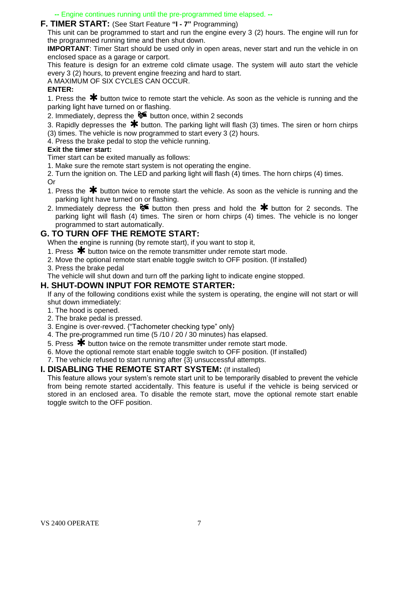**--** Engine continues running until the pre-programmed time elapsed. **--**

#### **F. TIMER START:** (See Start Feature **"I - 7"** Programming)

This unit can be programmed to start and run the engine every 3 (2) hours. The engine will run for the programmed running time and then shut down.

**IMPORTANT**: Timer Start should be used only in open areas, never start and run the vehicle in on enclosed space as a garage or carport.

This feature is design for an extreme cold climate usage. The system will auto start the vehicle every 3 (2) hours, to prevent engine freezing and hard to start.

A MAXIMUM OF SIX CYCLES CAN OCCUR.

#### **ENTER:**

1. Press the  $*$  button twice to remote start the vehicle. As soon as the vehicle is running and the parking light have turned on or flashing.

2. Immediately, depress the  $\delta$  button once, within 2 seconds

3. Rapidly depresses the  $*$  button. The parking light will flash (3) times. The siren or horn chirps (3) times. The vehicle is now programmed to start every 3 (2) hours.

4. Press the brake pedal to stop the vehicle running.

#### **Exit the timer start:**

Timer start can be exited manually as follows:

1. Make sure the remote start system is not operating the engine.

2. Turn the ignition on. The LED and parking light will flash (4) times. The horn chirps (4) times. Or

- 1. Press the  $*$  button twice to remote start the vehicle. As soon as the vehicle is running and the parking light have turned on or flashing.
- 2. Immediately depress the  $\delta$  button then press and hold the  $*$  button for 2 seconds. The parking light will flash (4) times. The siren or horn chirps (4) times. The vehicle is no longer programmed to start automatically.

#### **G. TO TURN OFF THE REMOTE START:**

- When the engine is running (by remote start), if you want to stop it,
- 1. Press  $\bigstar$  button twice on the remote transmitter under remote start mode.
- 2. Move the optional remote start enable toggle switch to OFF position. (If installed)
- 3. Press the brake pedal

The vehicle will shut down and turn off the parking light to indicate engine stopped.

#### **H. SHUT-DOWN INPUT FOR REMOTE STARTER:**

If any of the following conditions exist while the system is operating, the engine will not start or will shut down immediately:

- 1. The hood is opened.
- 2. The brake pedal is pressed.
- 3. Engine is over-revved. {"Tachometer checking type" only}
- 4. The pre-programmed run time (5 /10 / 20 / 30 minutes) has elapsed.
- 5. Press  $\bigstar$  button twice on the remote transmitter under remote start mode.
- 6. Move the optional remote start enable toggle switch to OFF position. (If installed)

7. The vehicle refused to start running after {3} unsuccessful attempts.

#### **I. DISABLING THE REMOTE START SYSTEM:** (If installed)

This feature allows your system's remote start unit to be temporarily disabled to prevent the vehicle from being remote started accidentally. This feature is useful if the vehicle is being serviced or stored in an enclosed area. To disable the remote start, move the optional remote start enable toggle switch to the OFF position.